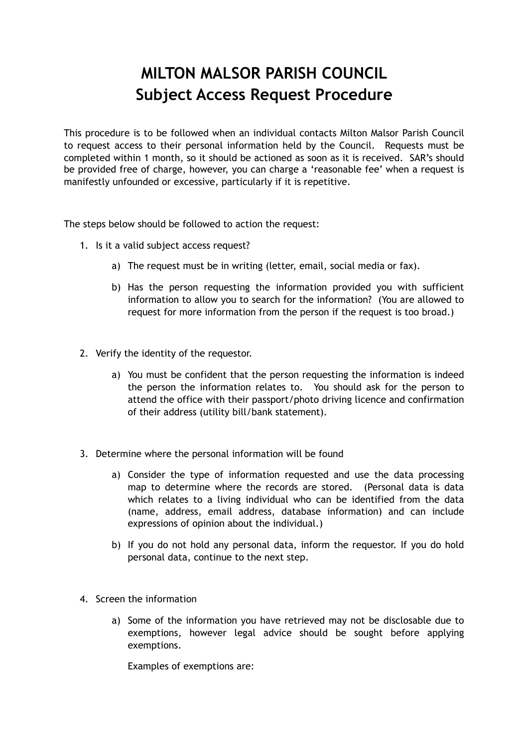# **MILTON MALSOR PARISH COUNCIL Subject Access Request Procedure**

This procedure is to be followed when an individual contacts Milton Malsor Parish Council to request access to their personal information held by the Council. Requests must be completed within 1 month, so it should be actioned as soon as it is received. SAR's should be provided free of charge, however, you can charge a 'reasonable fee' when a request is manifestly unfounded or excessive, particularly if it is repetitive.

The steps below should be followed to action the request:

- 1. Is it a valid subject access request?
	- a) The request must be in writing (letter, email, social media or fax).
	- b) Has the person requesting the information provided you with sufficient information to allow you to search for the information? (You are allowed to request for more information from the person if the request is too broad.)
- 2. Verify the identity of the requestor.
	- a) You must be confident that the person requesting the information is indeed the person the information relates to. You should ask for the person to attend the office with their passport/photo driving licence and confirmation of their address (utility bill/bank statement).
- 3. Determine where the personal information will be found
	- a) Consider the type of information requested and use the data processing map to determine where the records are stored. (Personal data is data which relates to a living individual who can be identified from the data (name, address, email address, database information) and can include expressions of opinion about the individual.)
	- b) If you do not hold any personal data, inform the requestor. If you do hold personal data, continue to the next step.
- 4. Screen the information
	- a) Some of the information you have retrieved may not be disclosable due to exemptions, however legal advice should be sought before applying exemptions.

Examples of exemptions are: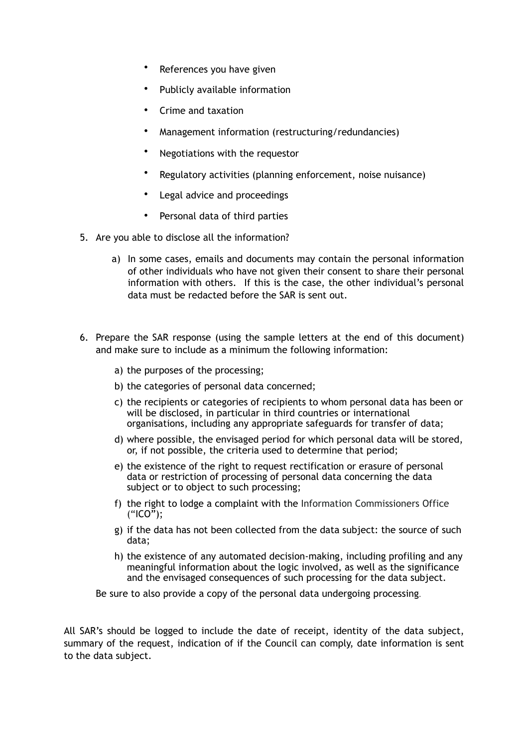- References you have given
- Publicly available information
- Crime and taxation
- Management information (restructuring/redundancies)
- Negotiations with the requestor
- Regulatory activities (planning enforcement, noise nuisance)
- Legal advice and proceedings
- Personal data of third parties
- 5. Are you able to disclose all the information?
	- a) In some cases, emails and documents may contain the personal information of other individuals who have not given their consent to share their personal information with others. If this is the case, the other individual's personal data must be redacted before the SAR is sent out.
- 6. Prepare the SAR response (using the sample letters at the end of this document) and make sure to include as a minimum the following information:
	- a) the purposes of the processing;
	- b) the categories of personal data concerned;
	- c) the recipients or categories of recipients to whom personal data has been or will be disclosed, in particular in third countries or international organisations, including any appropriate safeguards for transfer of data;
	- d) where possible, the envisaged period for which personal data will be stored, or, if not possible, the criteria used to determine that period;
	- e) the existence of the right to request rectification or erasure of personal data or restriction of processing of personal data concerning the data subject or to object to such processing;
	- f) the right to lodge a complaint with the Information Commissioners Office ("ICO");
	- g) if the data has not been collected from the data subject: the source of such data;
	- h) the existence of any automated decision-making, including profiling and any meaningful information about the logic involved, as well as the significance and the envisaged consequences of such processing for the data subject.

Be sure to also provide a copy of the personal data undergoing processing.

All SAR's should be logged to include the date of receipt, identity of the data subject, summary of the request, indication of if the Council can comply, date information is sent to the data subject.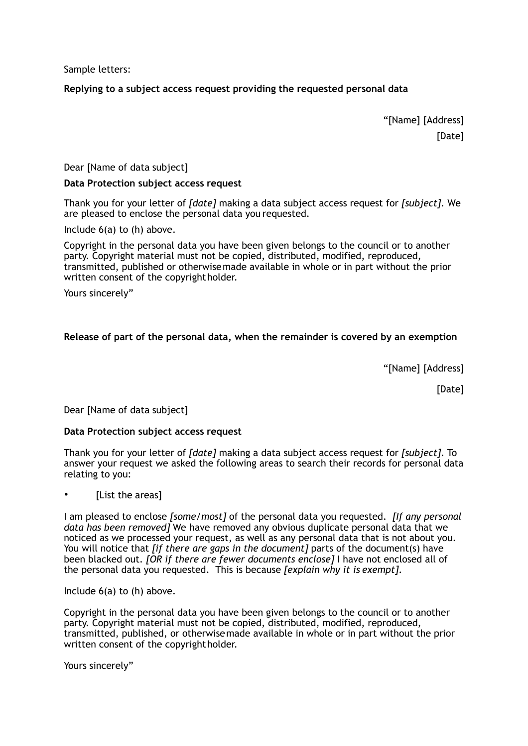Sample letters:

# **Replying to a subject access request providing the requested personal data**

 "[Name] [Address] [Date]

Dear [Name of data subject]

#### **Data Protection subject access request**

Thank you for your letter of *[date]* making a data subject access request for *[subject]*. We are pleased to enclose the personal data you requested.

Include 6(a) to (h) above.

Copyright in the personal data you have been given belongs to the council or to another party. Copyright material must not be copied, distributed, modified, reproduced, transmitted, published or otherwisemade available in whole or in part without the prior written consent of the copyrightholder.

Yours sincerely"

# **Release of part of the personal data, when the remainder is covered by an exemption**

"[Name] [Address]

[Date]

Dear [Name of data subject]

#### **Data Protection subject access request**

Thank you for your letter of *[date]* making a data subject access request for *[subject]*. To answer your request we asked the following areas to search their records for personal data relating to you:

[List the areas]

I am pleased to enclose *[some/most]* of the personal data you requested. *[If any personal data has been removed]* We have removed any obvious duplicate personal data that we noticed as we processed your request, as well as any personal data that is not about you. You will notice that *[if there are gaps in the document]* parts of the document(s) have been blacked out. *[OR if there are fewer documents enclose]* I have not enclosed all of the personal data you requested. This is because *[explain why it is exempt]*.

Include 6(a) to (h) above.

Copyright in the personal data you have been given belongs to the council or to another party. Copyright material must not be copied, distributed, modified, reproduced, transmitted, published, or otherwisemade available in whole or in part without the prior written consent of the copyrightholder.

Yours sincerely"